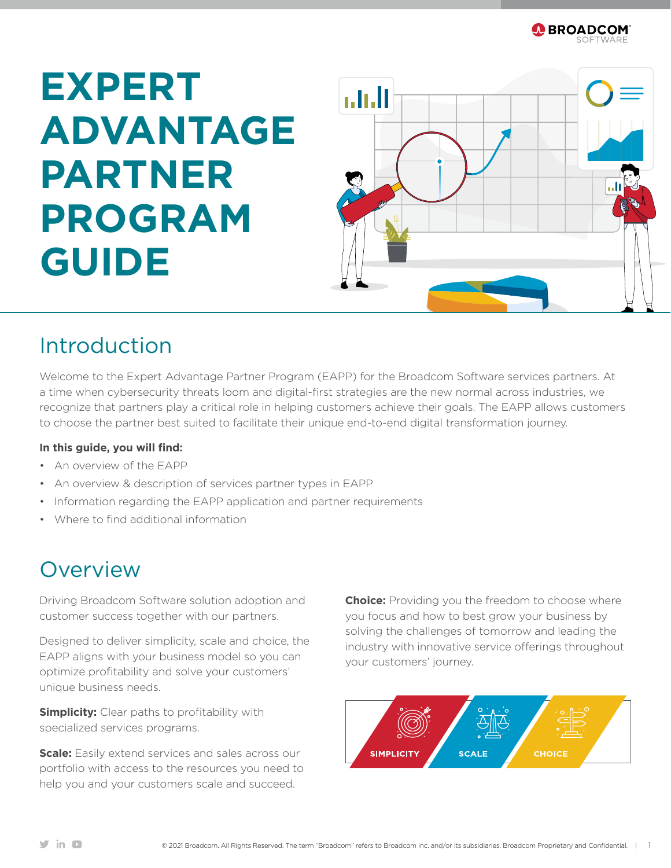

# **EXPERT ADVANTAGE PARTNER PROGRAM GUIDE**



### Introduction

Welcome to the Expert Advantage Partner Program (EAPP) for the Broadcom Software services partners. At a time when cybersecurity threats loom and digital-first strategies are the new normal across industries, we recognize that partners play a critical role in helping customers achieve their goals. The EAPP allows customers to choose the partner best suited to facilitate their unique end-to-end digital transformation journey.

#### **In this guide, you will find:**

- An overview of the EAPP
- An overview & description of services partner types in EAPP
- Information regarding the EAPP application and partner requirements
- Where to find additional information

### Overview

Driving Broadcom Software solution adoption and customer success together with our partners.

Designed to deliver simplicity, scale and choice, the EAPP aligns with your business model so you can optimize profitability and solve your customers' unique business needs.

**Simplicity:** Clear paths to profitability with specialized services programs.

**Scale:** Easily extend services and sales across our portfolio with access to the resources you need to help you and your customers scale and succeed.

**Choice:** Providing you the freedom to choose where you focus and how to best grow your business by solving the challenges of tomorrow and leading the industry with innovative service offerings throughout your customers' journey.

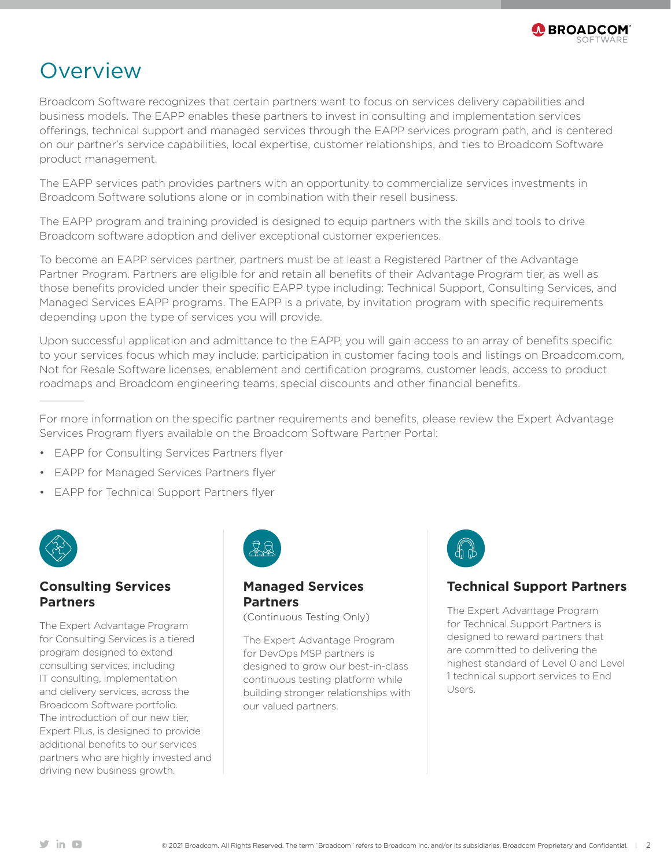

### **Overview**

Broadcom Software recognizes that certain partners want to focus on services delivery capabilities and business models. The EAPP enables these partners to invest in consulting and implementation services offerings, technical support and managed services through the EAPP services program path, and is centered on our partner's service capabilities, local expertise, customer relationships, and ties to Broadcom Software product management.

The EAPP services path provides partners with an opportunity to commercialize services investments in Broadcom Software solutions alone or in combination with their resell business.

The EAPP program and training provided is designed to equip partners with the skills and tools to drive Broadcom software adoption and deliver exceptional customer experiences.

To become an EAPP services partner, partners must be at least a Registered Partner of the Advantage Partner Program. Partners are eligible for and retain all benefits of their Advantage Program tier, as well as those benefits provided under their specific EAPP type including: Technical Support, Consulting Services, and Managed Services EAPP programs. The EAPP is a private, by invitation program with specific requirements depending upon the type of services you will provide.

Upon successful application and admittance to the EAPP, you will gain access to an array of benefits specific to your services focus which may include: participation in customer facing tools and listings on Broadcom.com, Not for Resale Software licenses, enablement and certification programs, customer leads, access to product roadmaps and Broadcom engineering teams, special discounts and other financial benefits.

For more information on the specific partner requirements and benefits, please review the Expert Advantage Services Program flyers available on the Broadcom Software Partner Portal:

- EAPP for Consulting Services Partners flyer
- EAPP for Managed Services Partners flyer
- EAPP for Technical Support Partners flyer



#### **Consulting Services Partners**

The Expert Advantage Program for Consulting Services is a tiered program designed to extend consulting services, including IT consulting, implementation and delivery services, across the Broadcom Software portfolio. The introduction of our new tier, Expert Plus, is designed to provide additional benefits to our services partners who are highly invested and driving new business growth.



#### **Managed Services Partners**

(Continuous Testing Only)

The Expert Advantage Program for DevOps MSP partners is designed to grow our best-in-class continuous testing platform while building stronger relationships with our valued partners.



#### **Technical Support Partners**

The Expert Advantage Program for Technical Support Partners is designed to reward partners that are committed to delivering the highest standard of Level 0 and Level 1 technical support services to End Users.